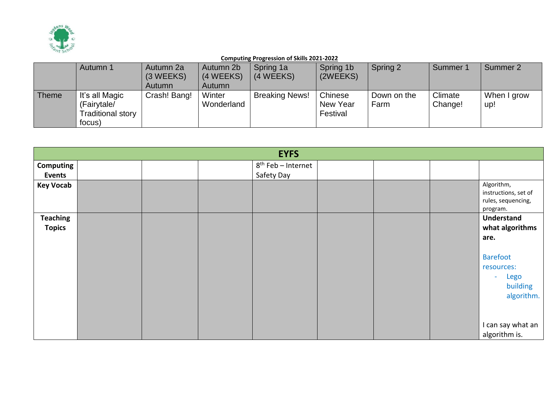

|              | Autumn 1                                                     | Autumn 2a<br>(3 WEEKS)<br>Autumn | Autumn 2b<br>(4 WEEKS)<br>Autumn | Spring 1a<br>(4 WEEKS) | Spring 1b<br>(2WEEKS)           | Spring 2            | Summer 1           | Summer 2           |
|--------------|--------------------------------------------------------------|----------------------------------|----------------------------------|------------------------|---------------------------------|---------------------|--------------------|--------------------|
| <b>Theme</b> | It's all Magic<br>(Fairytale/<br>Traditional story<br>focus) | Crash! Bang!                     | Winter<br>Wonderland             | <b>Breaking News!</b>  | Chinese<br>New Year<br>Festival | Down on the<br>Farm | Climate<br>Change! | When I grow<br>up! |

|                  |  | <b>EYFS</b>                    |  |                                                                      |
|------------------|--|--------------------------------|--|----------------------------------------------------------------------|
| Computing        |  | 8 <sup>th</sup> Feb - Internet |  |                                                                      |
| <b>Events</b>    |  | Safety Day                     |  |                                                                      |
| <b>Key Vocab</b> |  |                                |  | Algorithm,<br>instructions, set of<br>rules, sequencing,<br>program. |
| <b>Teaching</b>  |  |                                |  | Understand                                                           |
| <b>Topics</b>    |  |                                |  | what algorithms                                                      |
|                  |  |                                |  | are.                                                                 |
|                  |  |                                |  |                                                                      |
|                  |  |                                |  | <b>Barefoot</b>                                                      |
|                  |  |                                |  | resources:                                                           |
|                  |  |                                |  | Lego<br>$\sim$                                                       |
|                  |  |                                |  | building                                                             |
|                  |  |                                |  | algorithm.                                                           |
|                  |  |                                |  |                                                                      |
|                  |  |                                |  |                                                                      |
|                  |  |                                |  | I can say what an                                                    |
|                  |  |                                |  | algorithm is.                                                        |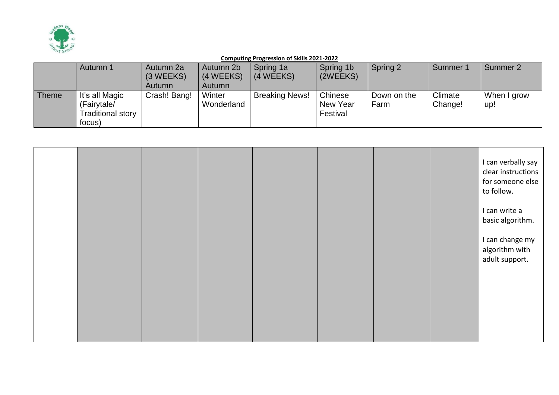

|              | Autumn 1                                                     | Autumn 2a<br>(3 WEEKS)<br>Autumn | Autumn 2b<br>(4 WEEKS)<br>Autumn | Spring 1a<br>(4 WEEKS) | Spring 1b<br>(2WEEKS)           | Spring 2            | Summer 1           | Summer 2           |
|--------------|--------------------------------------------------------------|----------------------------------|----------------------------------|------------------------|---------------------------------|---------------------|--------------------|--------------------|
| <b>Theme</b> | It's all Magic<br>(Fairytale/<br>Traditional story<br>focus) | Crash! Bang!                     | Winter<br>Wonderland             | <b>Breaking News!</b>  | Chinese<br>New Year<br>Festival | Down on the<br>Farm | Climate<br>Change! | When I grow<br>up! |

|  |  |  |  | I can verbally say<br>clear instructions<br>for someone else<br>to follow. |
|--|--|--|--|----------------------------------------------------------------------------|
|  |  |  |  | I can write a<br>basic algorithm.                                          |
|  |  |  |  | I can change my<br>algorithm with<br>adult support.                        |
|  |  |  |  |                                                                            |
|  |  |  |  |                                                                            |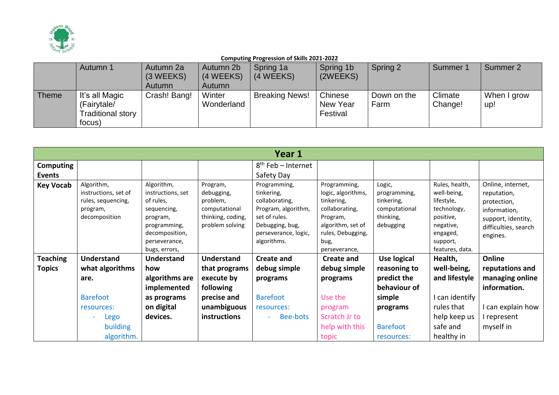

|              | Autumn 1                                                     | Autumn 2a<br>(3 WEEKS)<br>Autumn | Autumn 2b<br>(4 WEEKS)<br>Autumn | Spring 1a<br>(4 WEEKS) | Spring 1b<br>(2WEEKS)           | Spring 2            | Summer 1           | Summer 2           |
|--------------|--------------------------------------------------------------|----------------------------------|----------------------------------|------------------------|---------------------------------|---------------------|--------------------|--------------------|
| <b>Theme</b> | It's all Magic<br>(Fairytale/<br>Traditional story<br>focus) | Crash! Bang!                     | Winter<br>Wonderland             | <b>Breaking News!</b>  | Chinese<br>New Year<br>Festival | Down on the<br>Farm | Climate<br>Change! | When I grow<br>up! |

|                  |                                                                                       |                                                                                                                                             |                                                                                             | Year 1                                                                                                                                         |                                                                                                                                                   |                                                                                 |                                                                                                                                 |                                                                                                                           |
|------------------|---------------------------------------------------------------------------------------|---------------------------------------------------------------------------------------------------------------------------------------------|---------------------------------------------------------------------------------------------|------------------------------------------------------------------------------------------------------------------------------------------------|---------------------------------------------------------------------------------------------------------------------------------------------------|---------------------------------------------------------------------------------|---------------------------------------------------------------------------------------------------------------------------------|---------------------------------------------------------------------------------------------------------------------------|
| <b>Computing</b> |                                                                                       |                                                                                                                                             |                                                                                             | $8th$ Feb – Internet                                                                                                                           |                                                                                                                                                   |                                                                                 |                                                                                                                                 |                                                                                                                           |
| Events           |                                                                                       |                                                                                                                                             |                                                                                             | Safety Day                                                                                                                                     |                                                                                                                                                   |                                                                                 |                                                                                                                                 |                                                                                                                           |
| <b>Key Vocab</b> | Algorithm,<br>instructions, set of<br>rules, sequencing,<br>program,<br>decomposition | Algorithm,<br>instructions, set<br>of rules,<br>sequencing,<br>program,<br>programming,<br>decomposition,<br>perseverance,<br>bugs, errors, | Program,<br>debugging,<br>problem,<br>computational<br>thinking, coding,<br>problem solving | Programming,<br>tinkering,<br>collaborating,<br>Program, algorithm,<br>set of rules.<br>Debugging, bug,<br>perseverance, logic,<br>algorithms. | Programming,<br>logic, algorithms,<br>tinkering,<br>collaborating,<br>Program,<br>algorithm, set of<br>rules, Debugging,<br>bug,<br>perseverance, | Logic,<br>programming,<br>tinkering,<br>computational<br>thinking,<br>debugging | Rules, health,<br>well-being,<br>lifestyle,<br>technology,<br>positive,<br>negative,<br>engaged,<br>support,<br>features, data. | Online, internet,<br>reputation,<br>protection,<br>information,<br>support, identity,<br>difficulties, search<br>engines. |
| <b>Teaching</b>  | <b>Understand</b>                                                                     | Understand                                                                                                                                  | <b>Understand</b>                                                                           | <b>Create and</b>                                                                                                                              | <b>Create and</b>                                                                                                                                 | Use logical                                                                     | Health,                                                                                                                         | Online                                                                                                                    |
| <b>Topics</b>    | what algorithms                                                                       | how                                                                                                                                         | that programs                                                                               | debug simple                                                                                                                                   | debug simple                                                                                                                                      | reasoning to                                                                    | well-being,                                                                                                                     | reputations and                                                                                                           |
|                  | are.                                                                                  | algorithms are                                                                                                                              | execute by                                                                                  | programs                                                                                                                                       | programs                                                                                                                                          | predict the                                                                     | and lifestyle                                                                                                                   | managing online                                                                                                           |
|                  |                                                                                       | implemented                                                                                                                                 | following                                                                                   |                                                                                                                                                |                                                                                                                                                   | behaviour of                                                                    |                                                                                                                                 | information.                                                                                                              |
|                  | <b>Barefoot</b>                                                                       | as programs                                                                                                                                 | precise and                                                                                 | <b>Barefoot</b>                                                                                                                                | Use the                                                                                                                                           | simple                                                                          | I can identify                                                                                                                  |                                                                                                                           |
|                  | resources:                                                                            | on digital                                                                                                                                  | unambiguous                                                                                 | resources:                                                                                                                                     | program                                                                                                                                           | programs                                                                        | rules that                                                                                                                      | I can explain how                                                                                                         |
|                  | Lego                                                                                  | devices.                                                                                                                                    | instructions                                                                                | Bee-bots                                                                                                                                       | Scratch Jr to                                                                                                                                     |                                                                                 | help keep us                                                                                                                    | I represent                                                                                                               |
|                  | building                                                                              |                                                                                                                                             |                                                                                             |                                                                                                                                                | help with this                                                                                                                                    | <b>Barefoot</b>                                                                 | safe and                                                                                                                        | myself in                                                                                                                 |
|                  | algorithm.                                                                            |                                                                                                                                             |                                                                                             |                                                                                                                                                | topic                                                                                                                                             | resources:                                                                      | healthy in                                                                                                                      |                                                                                                                           |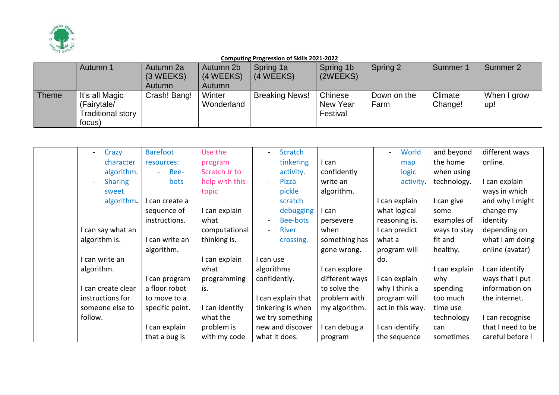

|              | Autumn 1          | Autumn 2a    | Autumn 2b  | Spring 1a             | Spring 1b | Spring 2    | Summer <sup>-</sup> | Summer 2    |
|--------------|-------------------|--------------|------------|-----------------------|-----------|-------------|---------------------|-------------|
|              |                   | (3 WEEKS)    | (4 WEEKS)  | (4 WEEKS)             | (2WEEKS)  |             |                     |             |
|              |                   | Autumn       | Autumn     |                       |           |             |                     |             |
| <b>Theme</b> | It's all Magic    | Crash! Bang! | Winter     | <b>Breaking News!</b> | Chinese   | Down on the | Climate             | When I grow |
|              | (Fairytale/       |              | Wonderland |                       | New Year  | Farm        | Change!             | up!         |
|              | Traditional story |              |            |                       | Festival  |             |                     |             |
|              | focus)            |              |            |                       |           |             |                     |             |

| Crazy              | <b>Barefoot</b> | Use the        | Scratch                              |                | World            | and beyond   | different ways    |
|--------------------|-----------------|----------------|--------------------------------------|----------------|------------------|--------------|-------------------|
| character          | resources:      | program        | tinkering                            | can            | map              | the home     | online.           |
| algorithm.         | Bee-<br>$\sim$  | Scratch Jr to  | activity.                            | confidently    | logic            | when using   |                   |
| <b>Sharing</b>     | <b>bots</b>     | help with this | Pizza                                | write an       | activity.        | technology.  | I can explain     |
| sweet              |                 | topic          | pickle                               | algorithm.     |                  |              | ways in which     |
| algorithm.         | l can create a  |                | scratch                              |                | I can explain    | I can give   | and why I might   |
|                    | sequence of     | can explain    | debugging                            | can            | what logical     | some         | change my         |
|                    | instructions.   | what           | Bee-bots<br>$\overline{\phantom{0}}$ | persevere      | reasoning is.    | examples of  | identity          |
| I can say what an  |                 | computational  | River<br>$\blacksquare$              | when           | I can predict    | ways to stay | depending on      |
| algorithm is.      | I can write an  | thinking is.   | crossing.                            | something has  | what a           | fit and      | what I am doing   |
|                    | algorithm.      |                |                                      | gone wrong.    | program will     | healthy.     | online (avatar)   |
| I can write an     |                 | can explain    | l can use                            |                | do.              |              |                   |
| algorithm.         |                 | what           | algorithms                           | can explore    |                  | can explain  | I can identify    |
|                    | I can program   | programming    | confidently.                         | different ways | I can explain    | why          | ways that I put   |
| I can create clear | a floor robot   | is.            |                                      | to solve the   | why I think a    | spending     | information on    |
| instructions for   | to move to a    |                | can explain that                     | problem with   | program will     | too much     | the internet.     |
| someone else to    | specific point. | can identify   | tinkering is when                    | my algorithm.  | act in this way. | time use     |                   |
| follow.            |                 | what the       | we try something                     |                |                  | technology   | can recognise     |
|                    | can explain     | problem is     | new and discover                     | can debug a    | I can identify   | can          | that I need to be |
|                    | that a bug is   | with my code   | what it does.                        | program        | the sequence     | sometimes    | careful before I  |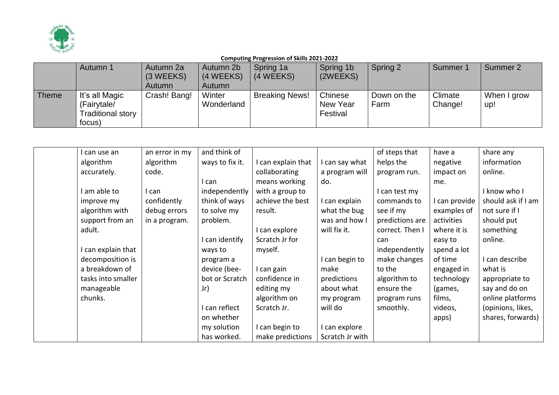

|              | Autumn 1          | Autumn 2a    | Autumn 2b  | Spring 1a             | Spring 1b | Spring 2    | Summer <sup>*</sup> | Summer 2    |
|--------------|-------------------|--------------|------------|-----------------------|-----------|-------------|---------------------|-------------|
|              |                   | (3 WEEKS)    | (4 WEEKS)  | (4 WEEKS)             | (2WEEKS)  |             |                     |             |
|              |                   | Autumn       | Autumn     |                       |           |             |                     |             |
| <b>Theme</b> | It's all Magic    | Crash! Bang! | Winter     | <b>Breaking News!</b> | Chinese   | Down on the | Climate             | When I grow |
|              | (Fairytale/       |              | Wonderland |                       | New Year  | Farm        | Change!             | up!         |
|              | Traditional story |              |            |                       | Festival  |             |                     |             |
|              | focus)            |              |            |                       |           |             |                     |             |

| I can use an       | an error in my | and think of    |                    |                 | of steps that   | have a        | share any          |
|--------------------|----------------|-----------------|--------------------|-----------------|-----------------|---------------|--------------------|
| algorithm          | algorithm      | ways to fix it. | I can explain that | I can say what  | helps the       | negative      | information        |
| accurately.        | code.          |                 | collaborating      | a program will  | program run.    | impact on     | online.            |
|                    |                | can             | means working      | do.             |                 | me.           |                    |
| I am able to       | I can          | independently   | with a group to    |                 | I can test my   |               | I know who I       |
| improve my         | confidently    | think of ways   | achieve the best   | I can explain   | commands to     | I can provide | should ask if I am |
| algorithm with     | debug errors   | to solve my     | result.            | what the bug    | see if my       | examples of   | not sure if I      |
| support from an    | in a program.  | problem.        |                    | was and how I   | predictions are | activities    | should put         |
| adult.             |                |                 | I can explore      | will fix it.    | correct. Then I | where it is   | something          |
|                    |                | can identify    | Scratch Jr for     |                 | can             | easy to       | online.            |
| I can explain that |                | ways to         | myself.            |                 | independently   | spend a lot   |                    |
| decomposition is   |                | program a       |                    | I can begin to  | make changes    | of time       | I can describe     |
| a breakdown of     |                | device (bee-    | I can gain         | make            | to the          | engaged in    | what is            |
| tasks into smaller |                | bot or Scratch  | confidence in      | predictions     | algorithm to    | technology    | appropriate to     |
| manageable         |                | Jr)             | editing my         | about what      | ensure the      | (games,       | say and do on      |
| chunks.            |                |                 | algorithm on       | my program      | program runs    | films,        | online platforms   |
|                    |                | can reflect     | Scratch Jr.        | will do         | smoothly.       | videos,       | (opinions, likes,  |
|                    |                | on whether      |                    |                 |                 | apps)         | shares, forwards)  |
|                    |                | my solution     | I can begin to     | can explore     |                 |               |                    |
|                    |                | has worked.     | make predictions   | Scratch Jr with |                 |               |                    |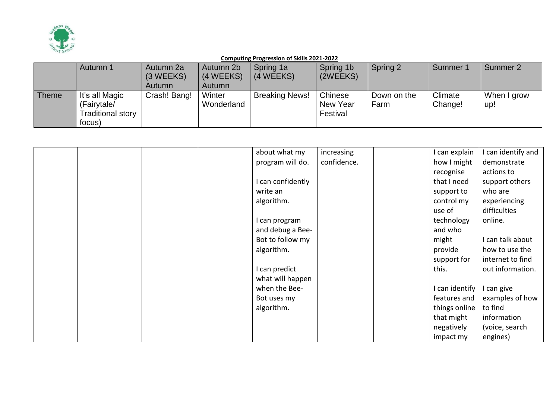

|              | Autumn 1                                                     | Autumn 2a<br>(3 WEEKS)<br>Autumn | Autumn 2b<br>(4 WEEKS)<br>Autumn | Spring 1a<br>(4 WEEKS) | Spring 1b<br>(2WEEKS)           | Spring 2            | Summer 1           | Summer 2           |
|--------------|--------------------------------------------------------------|----------------------------------|----------------------------------|------------------------|---------------------------------|---------------------|--------------------|--------------------|
| <b>Theme</b> | It's all Magic<br>(Fairytale/<br>Traditional story<br>focus) | Crash! Bang!                     | Winter<br>Wonderland             | <b>Breaking News!</b>  | Chinese<br>New Year<br>Festival | Down on the<br>Farm | Climate<br>Change! | When I grow<br>up! |

|  |  | about what my     | increasing  | I can explain  | can identify and |
|--|--|-------------------|-------------|----------------|------------------|
|  |  | program will do.  | confidence. | how I might    | demonstrate      |
|  |  |                   |             | recognise      | actions to       |
|  |  | I can confidently |             | that I need    | support others   |
|  |  | write an          |             | support to     | who are          |
|  |  | algorithm.        |             | control my     | experiencing     |
|  |  |                   |             | use of         | difficulties     |
|  |  | I can program     |             | technology     | online.          |
|  |  | and debug a Bee-  |             | and who        |                  |
|  |  | Bot to follow my  |             | might          | I can talk about |
|  |  | algorithm.        |             | provide        | how to use the   |
|  |  |                   |             | support for    | internet to find |
|  |  | I can predict     |             | this.          | out information. |
|  |  | what will happen  |             |                |                  |
|  |  | when the Bee-     |             | I can identify | I can give       |
|  |  | Bot uses my       |             | features and   | examples of how  |
|  |  | algorithm.        |             | things online  | to find          |
|  |  |                   |             | that might     | information      |
|  |  |                   |             | negatively     | (voice, search   |
|  |  |                   |             | impact my      | engines)         |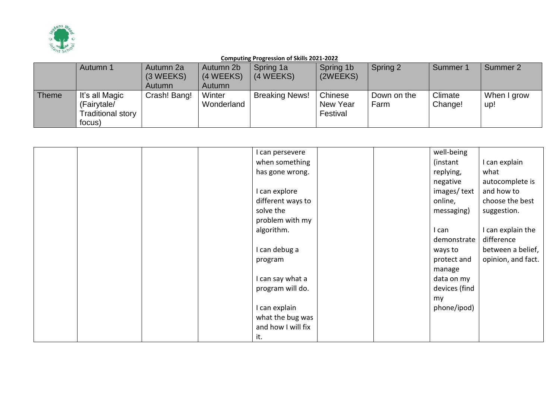

|       | Autumn 1                                                     | Autumn 2a<br>(3 WEEKS)<br>Autumn | Autumn 2b<br>(4 WEEKS)<br>Autumn | Spring 1a<br>(4 WEEKS) | Spring 1b<br>(2WEEKS)           | Spring 2            | Summer 1           | Summer 2           |
|-------|--------------------------------------------------------------|----------------------------------|----------------------------------|------------------------|---------------------------------|---------------------|--------------------|--------------------|
| Theme | It's all Magic<br>(Fairytale/<br>Traditional story<br>focus) | Crash! Bang!                     | Winter<br>Wonderland             | <b>Breaking News!</b>  | Chinese<br>New Year<br>Festival | Down on the<br>Farm | Climate<br>Change! | When I grow<br>up! |

|  | I can persevere    | well-being    |                    |
|--|--------------------|---------------|--------------------|
|  | when something     | (instant)     | I can explain      |
|  | has gone wrong.    | replying,     | what               |
|  |                    | negative      | autocomplete is    |
|  | I can explore      | images/text   | and how to         |
|  | different ways to  | online,       | choose the best    |
|  | solve the          | messaging)    | suggestion.        |
|  | problem with my    |               |                    |
|  | algorithm.         | I can         | I can explain the  |
|  |                    | demonstrate   | difference         |
|  | I can debug a      | ways to       | between a belief,  |
|  | program            | protect and   | opinion, and fact. |
|  |                    | manage        |                    |
|  | I can say what a   | data on my    |                    |
|  | program will do.   | devices (find |                    |
|  |                    | my            |                    |
|  | I can explain      | phone/ipod)   |                    |
|  | what the bug was   |               |                    |
|  | and how I will fix |               |                    |
|  | it.                |               |                    |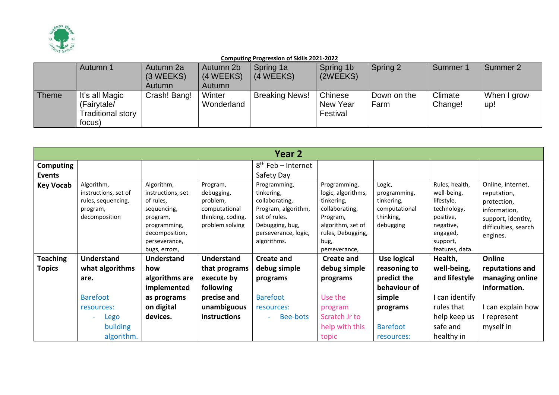

|              | Autumn 1                                                     | Autumn 2a<br>(3 WEEKS)<br>Autumn | Autumn 2b<br>(4 WEEKS)<br>Autumn | Spring 1a<br>(4 WEEKS) | Spring 1b<br>(2WEEKS)           | Spring 2            | Summer 1           | Summer 2           |
|--------------|--------------------------------------------------------------|----------------------------------|----------------------------------|------------------------|---------------------------------|---------------------|--------------------|--------------------|
| <b>Theme</b> | It's all Magic<br>(Fairytale/<br>Traditional story<br>focus) | Crash! Bang!                     | Winter<br>Wonderland             | <b>Breaking News!</b>  | Chinese<br>New Year<br>Festival | Down on the<br>Farm | Climate<br>Change! | When I grow<br>up! |

|                  | Year 2                                                                                |                                                                                                                                             |                                                                                             |                                                                                                                                                |                                                                                                                                                   |                                                                                 |                                                                                                                                 |                                                                                                                           |  |  |  |
|------------------|---------------------------------------------------------------------------------------|---------------------------------------------------------------------------------------------------------------------------------------------|---------------------------------------------------------------------------------------------|------------------------------------------------------------------------------------------------------------------------------------------------|---------------------------------------------------------------------------------------------------------------------------------------------------|---------------------------------------------------------------------------------|---------------------------------------------------------------------------------------------------------------------------------|---------------------------------------------------------------------------------------------------------------------------|--|--|--|
| <b>Computing</b> |                                                                                       |                                                                                                                                             |                                                                                             | $8th$ Feb – Internet                                                                                                                           |                                                                                                                                                   |                                                                                 |                                                                                                                                 |                                                                                                                           |  |  |  |
| Events           |                                                                                       |                                                                                                                                             |                                                                                             | Safety Day                                                                                                                                     |                                                                                                                                                   |                                                                                 |                                                                                                                                 |                                                                                                                           |  |  |  |
| <b>Key Vocab</b> | Algorithm,<br>instructions, set of<br>rules, sequencing,<br>program,<br>decomposition | Algorithm,<br>instructions, set<br>of rules,<br>sequencing,<br>program,<br>programming,<br>decomposition,<br>perseverance,<br>bugs, errors, | Program,<br>debugging,<br>problem,<br>computational<br>thinking, coding,<br>problem solving | Programming,<br>tinkering,<br>collaborating,<br>Program, algorithm,<br>set of rules.<br>Debugging, bug,<br>perseverance, logic,<br>algorithms. | Programming,<br>logic, algorithms,<br>tinkering,<br>collaborating,<br>Program,<br>algorithm, set of<br>rules, Debugging,<br>bug,<br>perseverance, | Logic,<br>programming,<br>tinkering,<br>computational<br>thinking,<br>debugging | Rules, health,<br>well-being,<br>lifestyle,<br>technology,<br>positive,<br>negative,<br>engaged,<br>support,<br>features, data. | Online, internet,<br>reputation,<br>protection,<br>information,<br>support, identity,<br>difficulties, search<br>engines. |  |  |  |
| <b>Teaching</b>  | <b>Understand</b>                                                                     | Understand                                                                                                                                  | <b>Understand</b>                                                                           | <b>Create and</b>                                                                                                                              | <b>Create and</b>                                                                                                                                 | Use logical                                                                     | Health,                                                                                                                         | Online                                                                                                                    |  |  |  |
| <b>Topics</b>    | what algorithms                                                                       | how                                                                                                                                         | that programs                                                                               | debug simple                                                                                                                                   | debug simple                                                                                                                                      | reasoning to                                                                    | well-being,                                                                                                                     | reputations and                                                                                                           |  |  |  |
|                  | are.                                                                                  | algorithms are                                                                                                                              | execute by                                                                                  | programs                                                                                                                                       | programs                                                                                                                                          | predict the                                                                     | and lifestyle                                                                                                                   | managing online                                                                                                           |  |  |  |
|                  |                                                                                       | implemented                                                                                                                                 | following                                                                                   |                                                                                                                                                |                                                                                                                                                   | behaviour of                                                                    |                                                                                                                                 | information.                                                                                                              |  |  |  |
|                  | <b>Barefoot</b>                                                                       | as programs                                                                                                                                 | precise and                                                                                 | <b>Barefoot</b>                                                                                                                                | Use the                                                                                                                                           | simple                                                                          | I can identify                                                                                                                  |                                                                                                                           |  |  |  |
|                  | resources:                                                                            | on digital                                                                                                                                  | unambiguous                                                                                 | resources:                                                                                                                                     | program                                                                                                                                           | programs                                                                        | rules that                                                                                                                      | I can explain how                                                                                                         |  |  |  |
|                  | Lego                                                                                  | devices.                                                                                                                                    | instructions                                                                                | Bee-bots                                                                                                                                       | Scratch Jr to                                                                                                                                     |                                                                                 | help keep us                                                                                                                    | I represent                                                                                                               |  |  |  |
|                  | building                                                                              |                                                                                                                                             |                                                                                             |                                                                                                                                                | help with this                                                                                                                                    | <b>Barefoot</b>                                                                 | safe and                                                                                                                        | myself in                                                                                                                 |  |  |  |
|                  | algorithm.                                                                            |                                                                                                                                             |                                                                                             |                                                                                                                                                | topic                                                                                                                                             | resources:                                                                      | healthy in                                                                                                                      |                                                                                                                           |  |  |  |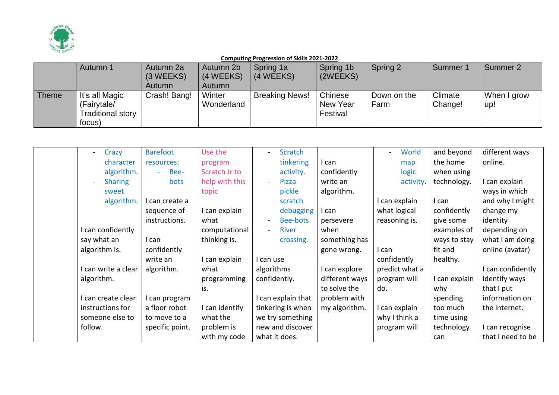

|              | Autumn 1          | Autumn 2a    | Autumn 2b  | Spring 1a             | Spring 1b | Spring 2    | Summer 1 | Summer 2    |
|--------------|-------------------|--------------|------------|-----------------------|-----------|-------------|----------|-------------|
|              |                   | (3 WEEKS)    | (4 WEEKS)  | (4 WEEKS)             | (2WEEKS)  |             |          |             |
|              |                   | Autumn       | Autumn     |                       |           |             |          |             |
| <b>Theme</b> | It's all Magic    | Crash! Bang! | Winter     | <b>Breaking News!</b> | Chinese   | Down on the | Climate  | When I grow |
|              | (Fairytale/       |              | Wonderland |                       | New Year  | Farm        | Change!  | up!         |
|              | Traditional story |              |            |                       | Festival  |             |          |             |
|              | focus)            |              |            |                       |           |             |          |             |

| Crazy                                      | <b>Barefoot</b> | Use the        | Scratch                        |                | World          | and beyond   | different ways    |
|--------------------------------------------|-----------------|----------------|--------------------------------|----------------|----------------|--------------|-------------------|
| character                                  | resources:      | program        | tinkering                      | I can          | map            | the home     | online.           |
| algorithm.                                 | Bee-<br>$\sim$  | Scratch Jr to  | activity.                      | confidently    | logic          | when using   |                   |
| <b>Sharing</b><br>$\overline{\phantom{a}}$ | bots            | help with this | Pizza                          | write an       | activity.      | technology.  | I can explain     |
| sweet                                      |                 | topic          | pickle                         | algorithm.     |                |              | ways in which     |
| algorithm.                                 | I can create a  |                | scratch                        |                | I can explain  | l can        | and why I might   |
|                                            | sequence of     | I can explain  | debugging                      | I can          | what logical   | confidently  | change my         |
|                                            | instructions.   | what           | Bee-bots<br>$\blacksquare$     | persevere      | reasoning is.  | give some    | identity          |
| I can confidently                          |                 | computational  | <b>River</b><br>$\blacksquare$ | when           |                | examples of  | depending on      |
| say what an                                | I can           | thinking is.   | crossing.                      | something has  |                | ways to stay | what I am doing   |
| algorithm is.                              | confidently     |                |                                | gone wrong.    | I can          | fit and      | online (avatar)   |
|                                            | write an        | I can explain  | I can use                      |                | confidently    | healthy.     |                   |
| I can write a clear                        | algorithm.      | what           | algorithms                     | I can explore  | predict what a |              | I can confidently |
| algorithm.                                 |                 | programming    | confidently.                   | different ways | program will   | can explain  | identify ways     |
|                                            |                 | is.            |                                | to solve the   | do.            | why          | that I put        |
| I can create clear                         | I can program   |                | I can explain that             | problem with   |                | spending     | information on    |
| instructions for                           | a floor robot   | I can identify | tinkering is when              | my algorithm.  | I can explain  | too much     | the internet.     |
| someone else to                            | to move to a    | what the       | we try something               |                | why I think a  | time using   |                   |
| follow.                                    | specific point. | problem is     | new and discover               |                | program will   | technology   | I can recognise   |
|                                            |                 | with my code   | what it does.                  |                |                | can          | that I need to be |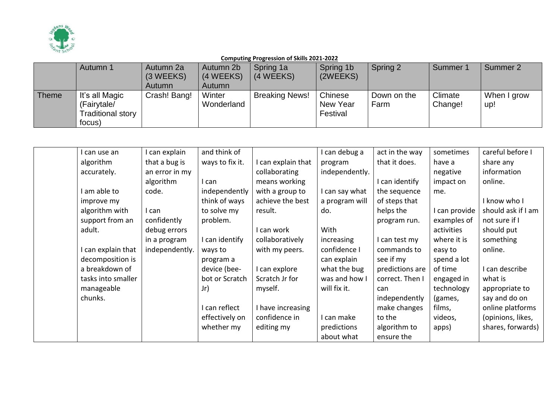

|              | Autumn 1          | Autumn 2a    | Autumn 2b  | Spring 1a             | Spring 1b | Spring 2    | Summer 1 | Summer 2    |
|--------------|-------------------|--------------|------------|-----------------------|-----------|-------------|----------|-------------|
|              |                   | (3 WEEKS)    | (4 WEEKS)  | (4 WEEKS)             | (2WEEKS)  |             |          |             |
|              |                   | Autumn       | Autumn     |                       |           |             |          |             |
| <b>Theme</b> | It's all Magic    | Crash! Bang! | Winter     | <b>Breaking News!</b> | Chinese   | Down on the | Climate  | When I grow |
|              | (Fairytale/       |              | Wonderland |                       | New Year  | Farm        | Change!  | up!         |
|              | Traditional story |              |            |                       | Festival  |             |          |             |
|              | focus)            |              |            |                       |           |             |          |             |

| l can use an       | I can explain  | and think of    |                   | can debug a    | act in the way  | sometimes   | careful before I   |
|--------------------|----------------|-----------------|-------------------|----------------|-----------------|-------------|--------------------|
| algorithm          | that a bug is  | ways to fix it. | can explain that  | program        | that it does.   | have a      | share any          |
| accurately.        | an error in my |                 | collaborating     | independently. |                 | negative    | information        |
|                    | algorithm      | I can           | means working     |                | I can identify  | impact on   | online.            |
| I am able to       | code.          | independently   | with a group to   | can say what   | the sequence    | me.         |                    |
| improve my         |                | think of ways   | achieve the best  | a program will | of steps that   |             | I know who I       |
| algorithm with     | l can          | to solve my     | result.           | do.            | helps the       | can provide | should ask if I am |
| support from an    | confidently    | problem.        |                   |                | program run.    | examples of | not sure if I      |
| adult.             | debug errors   |                 | can work          | With           |                 | activities  | should put         |
|                    | in a program   | I can identify  | collaboratively   | increasing     | I can test my   | where it is | something          |
| I can explain that | independently. | ways to         | with my peers.    | confidence I   | commands to     | easy to     | online.            |
| decomposition is   |                | program a       |                   | can explain    | see if my       | spend a lot |                    |
| a breakdown of     |                | device (bee-    | can explore       | what the bug   | predictions are | of time     | can describe       |
| tasks into smaller |                | bot or Scratch  | Scratch Jr for    | was and how I  | correct. Then I | engaged in  | what is            |
| manageable         |                | Jr)             | myself.           | will fix it.   | can             | technology  | appropriate to     |
| chunks.            |                |                 |                   |                | independently   | (games,     | say and do on      |
|                    |                | I can reflect   | I have increasing |                | make changes    | films,      | online platforms   |
|                    |                | effectively on  | confidence in     | can make       | to the          | videos,     | (opinions, likes,  |
|                    |                | whether my      | editing my        | predictions    | algorithm to    | apps)       | shares, forwards)  |
|                    |                |                 |                   | about what     | ensure the      |             |                    |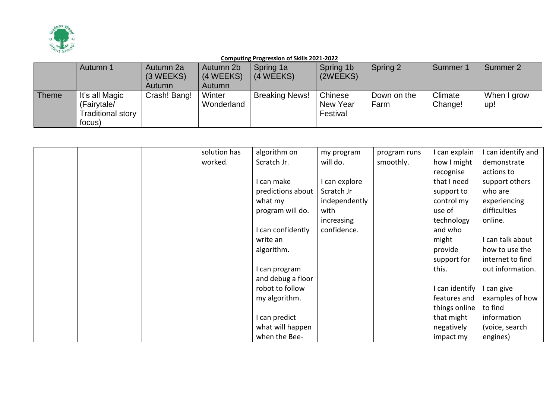

|              | Autumn 1                                                     | Autumn 2a<br>(3 WEEKS) | Autumn 2b<br>(4 WEEKS) | Spring 1a<br>(4 WEEKS) | Spring 1b<br>(2WEEKS)           | Spring 2            | Summer             | Summer 2           |
|--------------|--------------------------------------------------------------|------------------------|------------------------|------------------------|---------------------------------|---------------------|--------------------|--------------------|
|              |                                                              | Autumn                 | Autumn                 |                        |                                 |                     |                    |                    |
| <b>Theme</b> | It's all Magic<br>(Fairytale/<br>Traditional story<br>focus) | Crash! Bang!           | Winter<br>Wonderland   | <b>Breaking News!</b>  | Chinese<br>New Year<br>Festival | Down on the<br>Farm | Climate<br>Change! | When I grow<br>up! |

|  | solution has | algorithm on      | my program    | program runs | can explain    | can identify and |
|--|--------------|-------------------|---------------|--------------|----------------|------------------|
|  | worked.      | Scratch Jr.       | will do.      | smoothly.    | how I might    | demonstrate      |
|  |              |                   |               |              | recognise      | actions to       |
|  |              | I can make        | I can explore |              | that I need    | support others   |
|  |              | predictions about | Scratch Jr    |              | support to     | who are          |
|  |              | what my           | independently |              | control my     | experiencing     |
|  |              | program will do.  | with          |              | use of         | difficulties     |
|  |              |                   | increasing    |              | technology     | online.          |
|  |              | I can confidently | confidence.   |              | and who        |                  |
|  |              | write an          |               |              | might          | I can talk about |
|  |              | algorithm.        |               |              | provide        | how to use the   |
|  |              |                   |               |              | support for    | internet to find |
|  |              | I can program     |               |              | this.          | out information. |
|  |              | and debug a floor |               |              |                |                  |
|  |              | robot to follow   |               |              | I can identify | I can give       |
|  |              | my algorithm.     |               |              | features and   | examples of how  |
|  |              |                   |               |              | things online  | to find          |
|  |              | I can predict     |               |              | that might     | information      |
|  |              | what will happen  |               |              | negatively     | (voice, search   |
|  |              | when the Bee-     |               |              | impact my      | engines)         |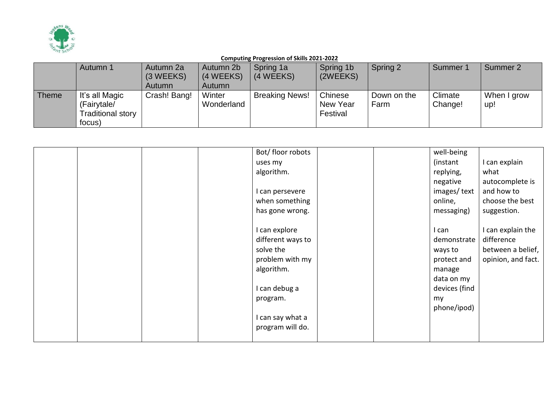

|       | Autumn 1                                                     | Autumn 2a<br>(3 WEEKS)<br>Autumn | Autumn 2b<br>(4 WEEKS)<br>Autumn | Spring 1a<br>(4 WEEKS) | Spring 1b<br>(2WEEKS)           | Spring 2            | Summer <sup>*</sup> | Summer 2           |
|-------|--------------------------------------------------------------|----------------------------------|----------------------------------|------------------------|---------------------------------|---------------------|---------------------|--------------------|
| Theme | It's all Magic<br>(Fairytale/<br>Traditional story<br>focus) | Crash! Bang!                     | Winter<br>Wonderland             | <b>Breaking News!</b>  | Chinese<br>New Year<br>Festival | Down on the<br>Farm | Climate<br>Change!  | When I grow<br>up! |

|  |  | Bot/floor robots  | well-being    |                    |
|--|--|-------------------|---------------|--------------------|
|  |  | uses my           | (instant      | I can explain      |
|  |  | algorithm.        | replying,     | what               |
|  |  |                   | negative      | autocomplete is    |
|  |  | I can persevere   | images/text   | and how to         |
|  |  | when something    | online,       | choose the best    |
|  |  | has gone wrong.   | messaging)    | suggestion.        |
|  |  | I can explore     | I can         | I can explain the  |
|  |  | different ways to | demonstrate   | difference         |
|  |  | solve the         | ways to       | between a belief,  |
|  |  | problem with my   | protect and   | opinion, and fact. |
|  |  | algorithm.        | manage        |                    |
|  |  |                   | data on my    |                    |
|  |  | I can debug a     | devices (find |                    |
|  |  | program.          | my            |                    |
|  |  |                   | phone/ipod)   |                    |
|  |  |                   |               |                    |
|  |  | I can say what a  |               |                    |
|  |  | program will do.  |               |                    |
|  |  |                   |               |                    |